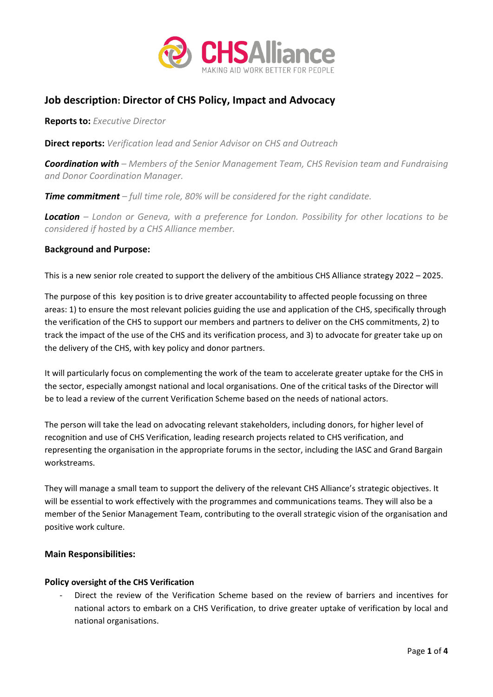

# **Job description: Director of CHS Policy, Impact and Advocacy**

**Reports to:** *Executive Director*

**Direct reports:** *Verification lead and Senior Advisor on CHS and Outreach* 

*Coordination with – Members of the Senior Management Team, CHS Revision team and Fundraising and Donor Coordination Manager.* 

*Time commitment – full time role, 80% will be considered for the right candidate.* 

*Location – London or Geneva, with a preference for London. Possibility for other locations to be considered if hosted by a CHS Alliance member.* 

# **Background and Purpose:**

This is a new senior role created to support the delivery of the ambitious CHS Alliance strategy 2022 – 2025.

The purpose of this key position is to drive greater accountability to affected people focussing on three areas: 1) to ensure the most relevant policies guiding the use and application of the CHS, specifically through the verification of the CHS to support our members and partners to deliver on the CHS commitments, 2) to track the impact of the use of the CHS and its verification process, and 3) to advocate for greater take up on the delivery of the CHS, with key policy and donor partners.

It will particularly focus on complementing the work of the team to accelerate greater uptake for the CHS in the sector, especially amongst national and local organisations. One of the critical tasks of the Director will be to lead a review of the current Verification Scheme based on the needs of national actors.

The person will take the lead on advocating relevant stakeholders, including donors, for higher level of recognition and use of CHS Verification, leading research projects related to CHS verification, and representing the organisation in the appropriate forums in the sector, including the IASC and Grand Bargain workstreams.

They will manage a small team to support the delivery of the relevant CHS Alliance's strategic objectives. It will be essential to work effectively with the programmes and communications teams. They will also be a member of the Senior Management Team, contributing to the overall strategic vision of the organisation and positive work culture.

# **Main Responsibilities:**

## **Policy oversight of the CHS Verification**

- Direct the review of the Verification Scheme based on the review of barriers and incentives for national actors to embark on a CHS Verification, to drive greater uptake of verification by local and national organisations.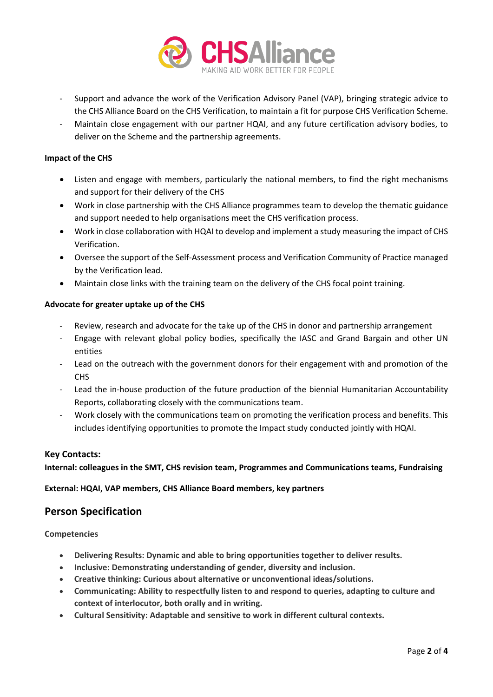

- Support and advance the work of the Verification Advisory Panel (VAP), bringing strategic advice to the CHS Alliance Board on the CHS Verification, to maintain a fit for purpose CHS Verification Scheme.
- Maintain close engagement with our partner HQAI, and any future certification advisory bodies, to deliver on the Scheme and the partnership agreements.

## **Impact of the CHS**

- Listen and engage with members, particularly the national members, to find the right mechanisms and support for their delivery of the CHS
- Work in close partnership with the CHS Alliance programmes team to develop the thematic guidance and support needed to help organisations meet the CHS verification process.
- Work in close collaboration with HQAI to develop and implement a study measuring the impact of CHS Verification.
- Oversee the support of the Self-Assessment process and Verification Community of Practice managed by the Verification lead.
- Maintain close links with the training team on the delivery of the CHS focal point training.

#### **Advocate for greater uptake up of the CHS**

- Review, research and advocate for the take up of the CHS in donor and partnership arrangement
- Engage with relevant global policy bodies, specifically the IASC and Grand Bargain and other UN entities
- Lead on the outreach with the government donors for their engagement with and promotion of the CHS
- Lead the in-house production of the future production of the biennial Humanitarian Accountability Reports, collaborating closely with the communications team.
- Work closely with the communications team on promoting the verification process and benefits. This includes identifying opportunities to promote the Impact study conducted jointly with HQAI.

## **Key Contacts:**

**Internal: colleagues in the SMT, CHS revision team, Programmes and Communications teams, Fundraising**

## **External: HQAI, VAP members, CHS Alliance Board members, key partners**

# **Person Specification**

#### **Competencies**

- **Delivering Results: Dynamic and able to bring opportunities together to deliver results.**
- **Inclusive: Demonstrating understanding of gender, diversity and inclusion.**
- **Creative thinking: Curious about alternative or unconventional ideas/solutions.**
- **Communicating: Ability to respectfully listen to and respond to queries, adapting to culture and context of interlocutor, both orally and in writing.**
- **Cultural Sensitivity: Adaptable and sensitive to work in different cultural contexts.**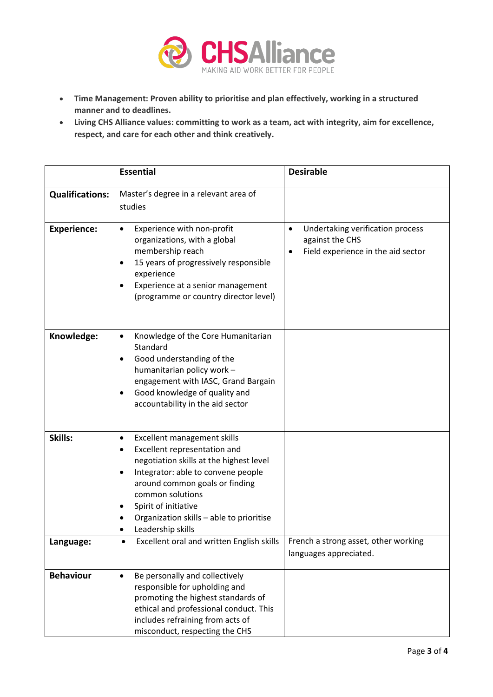

- **Time Management: Proven ability to prioritise and plan effectively, working in a structured manner and to deadlines.**
- **Living CHS Alliance values: committing to work as a team, act with integrity, aim for excellence, respect, and care for each other and think creatively.**

|                        | <b>Essential</b>                                                                                                                                                                                                                                                                                           | <b>Desirable</b>                                                                                            |
|------------------------|------------------------------------------------------------------------------------------------------------------------------------------------------------------------------------------------------------------------------------------------------------------------------------------------------------|-------------------------------------------------------------------------------------------------------------|
| <b>Qualifications:</b> | Master's degree in a relevant area of<br>studies                                                                                                                                                                                                                                                           |                                                                                                             |
| <b>Experience:</b>     | Experience with non-profit<br>٠<br>organizations, with a global<br>membership reach<br>15 years of progressively responsible<br>$\bullet$<br>experience<br>Experience at a senior management<br>٠<br>(programme or country director level)                                                                 | Undertaking verification process<br>٠<br>against the CHS<br>Field experience in the aid sector<br>$\bullet$ |
| Knowledge:             | Knowledge of the Core Humanitarian<br>٠<br>Standard<br>Good understanding of the<br>humanitarian policy work -<br>engagement with IASC, Grand Bargain<br>Good knowledge of quality and<br>accountability in the aid sector                                                                                 |                                                                                                             |
| Skills:                | Excellent management skills<br>٠<br>Excellent representation and<br>negotiation skills at the highest level<br>Integrator: able to convene people<br>٠<br>around common goals or finding<br>common solutions<br>Spirit of initiative<br>٠<br>Organization skills - able to prioritise<br>Leadership skills |                                                                                                             |
| Language:              | Excellent oral and written English skills                                                                                                                                                                                                                                                                  | French a strong asset, other working<br>languages appreciated.                                              |
| <b>Behaviour</b>       | Be personally and collectively<br>$\bullet$<br>responsible for upholding and<br>promoting the highest standards of<br>ethical and professional conduct. This<br>includes refraining from acts of<br>misconduct, respecting the CHS                                                                         |                                                                                                             |